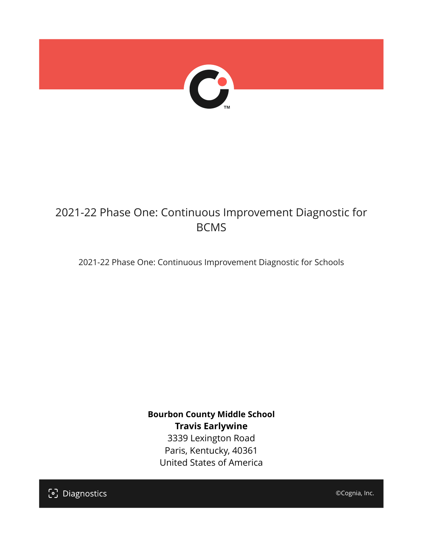

# 2021-22 Phase One: Continuous Improvement Diagnostic for BCMS

2021-22 Phase One: Continuous Improvement Diagnostic for Schools

**Bourbon County Middle School Travis Earlywine** 3339 Lexington Road Paris, Kentucky, 40361 United States of America

[၁] Diagnostics

©Cognia, Inc.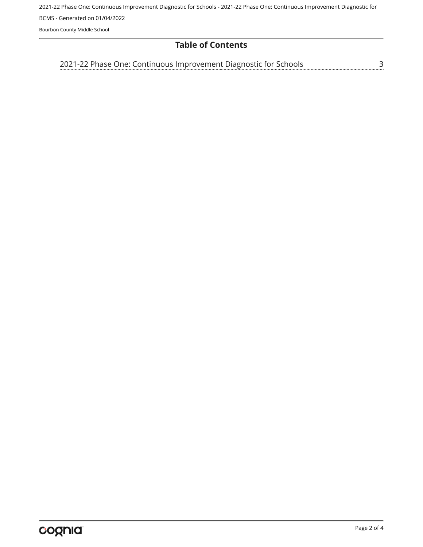2021-22 Phase One: Continuous Improvement Diagnostic for Schools - 2021-22 Phase One: Continuous Improvement Diagnostic for BCMS - Generated on 01/04/2022

Bourbon County Middle School

# **Table of Contents**

<u>[3](#page-2-0)</u> [2021-22 Phase One: Continuous Improvement Diagnostic for Schools](#page-2-0)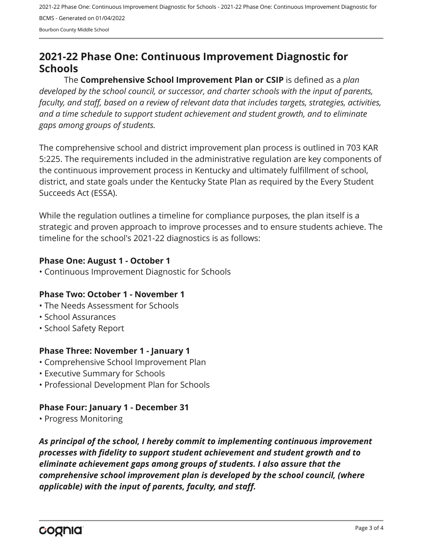2021-22 Phase One: Continuous Improvement Diagnostic for Schools - 2021-22 Phase One: Continuous Improvement Diagnostic for BCMS - Generated on 01/04/2022 Bourbon County Middle School

# <span id="page-2-0"></span>**2021-22 Phase One: Continuous Improvement Diagnostic for Schools**

The **Comprehensive School Improvement Plan or CSIP** is defined as a *plan developed by the school council, or successor, and charter schools with the input of parents, faculty, and staff, based on a review of relevant data that includes targets, strategies, activities, and a time schedule to support student achievement and student growth, and to eliminate gaps among groups of students.*

The comprehensive school and district improvement plan process is outlined in 703 KAR 5:225. The requirements included in the administrative regulation are key components of the continuous improvement process in Kentucky and ultimately fulfillment of school, district, and state goals under the Kentucky State Plan as required by the Every Student Succeeds Act (ESSA).

While the regulation outlines a timeline for compliance purposes, the plan itself is a strategic and proven approach to improve processes and to ensure students achieve. The timeline for the school's 2021-22 diagnostics is as follows:

#### **Phase One: August 1 - October 1**

• Continuous Improvement Diagnostic for Schools

# **Phase Two: October 1 - November 1**

- The Needs Assessment for Schools
- School Assurances
- School Safety Report

# **Phase Three: November 1 - January 1**

- Comprehensive School Improvement Plan
- Executive Summary for Schools
- Professional Development Plan for Schools

# **Phase Four: January 1 - December 31**

• Progress Monitoring

*As principal of the school, I hereby commit to implementing continuous improvement processes with fidelity to support student achievement and student growth and to eliminate achievement gaps among groups of students. I also assure that the comprehensive school improvement plan is developed by the school council, (where applicable) with the input of parents, faculty, and staff.*